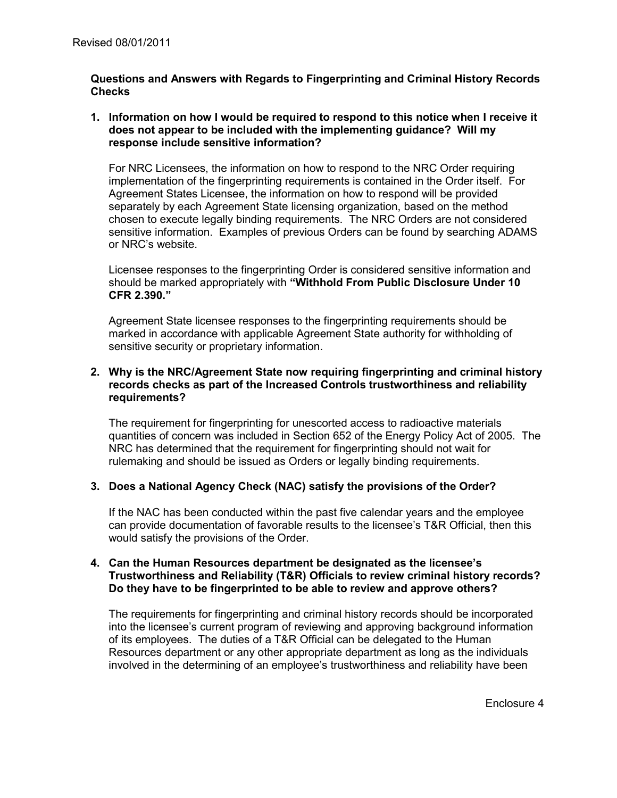## **Questions and Answers with Regards to Fingerprinting and Criminal History Records Checks**

## **1. Information on how I would be required to respond to this notice when I receive it does not appear to be included with the implementing guidance? Will my response include sensitive information?**

For NRC Licensees, the information on how to respond to the NRC Order requiring implementation of the fingerprinting requirements is contained in the Order itself. For Agreement States Licensee, the information on how to respond will be provided separately by each Agreement State licensing organization, based on the method chosen to execute legally binding requirements. The NRC Orders are not considered sensitive information. Examples of previous Orders can be found by searching ADAMS or NRC's website.

Licensee responses to the fingerprinting Order is considered sensitive information and should be marked appropriately with **"Withhold From Public Disclosure Under 10 CFR 2.390."** 

Agreement State licensee responses to the fingerprinting requirements should be marked in accordance with applicable Agreement State authority for withholding of sensitive security or proprietary information.

## **2. Why is the NRC/Agreement State now requiring fingerprinting and criminal history records checks as part of the Increased Controls trustworthiness and reliability requirements?**

The requirement for fingerprinting for unescorted access to radioactive materials quantities of concern was included in Section 652 of the Energy Policy Act of 2005. The NRC has determined that the requirement for fingerprinting should not wait for rulemaking and should be issued as Orders or legally binding requirements.

# **3. Does a National Agency Check (NAC) satisfy the provisions of the Order?**

If the NAC has been conducted within the past five calendar years and the employee can provide documentation of favorable results to the licensee's T&R Official, then this would satisfy the provisions of the Order.

## **4. Can the Human Resources department be designated as the licensee's Trustworthiness and Reliability (T&R) Officials to review criminal history records? Do they have to be fingerprinted to be able to review and approve others?**

The requirements for fingerprinting and criminal history records should be incorporated into the licensee's current program of reviewing and approving background information of its employees. The duties of a T&R Official can be delegated to the Human Resources department or any other appropriate department as long as the individuals involved in the determining of an employee's trustworthiness and reliability have been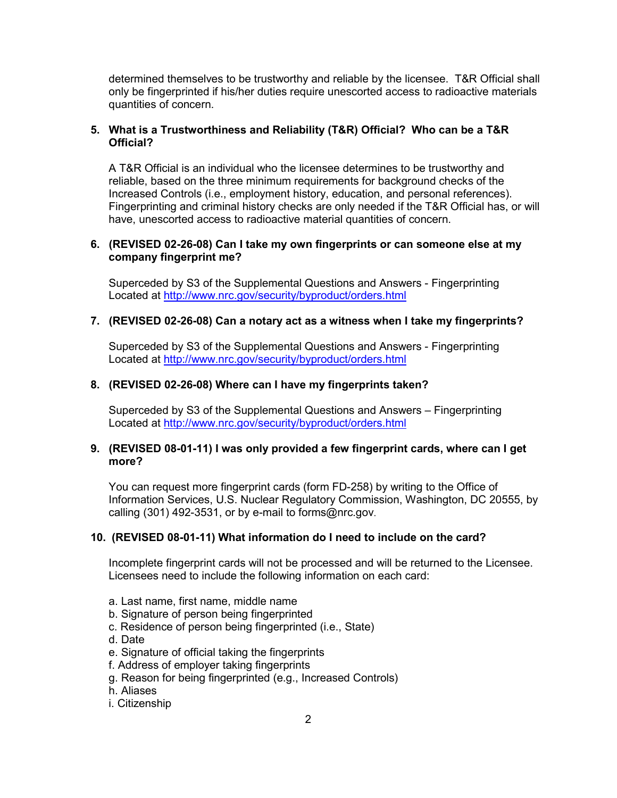determined themselves to be trustworthy and reliable by the licensee. T&R Official shall only be fingerprinted if his/her duties require unescorted access to radioactive materials quantities of concern.

## **5. What is a Trustworthiness and Reliability (T&R) Official? Who can be a T&R Official?**

A T&R Official is an individual who the licensee determines to be trustworthy and reliable, based on the three minimum requirements for background checks of the Increased Controls (i.e., employment history, education, and personal references). Fingerprinting and criminal history checks are only needed if the T&R Official has, or will have, unescorted access to radioactive material quantities of concern.

## **6. (REVISED 02-26-08) Can I take my own fingerprints or can someone else at my company fingerprint me?**

Superceded by S3 of the Supplemental Questions and Answers - Fingerprinting Located at http://www.nrc.gov/security/byproduct/orders.html

## **7. (REVISED 02-26-08) Can a notary act as a witness when I take my fingerprints?**

Superceded by S3 of the Supplemental Questions and Answers - Fingerprinting Located at http://www.nrc.gov/security/byproduct/orders.html

# **8. (REVISED 02-26-08) Where can I have my fingerprints taken?**

Superceded by S3 of the Supplemental Questions and Answers – Fingerprinting Located at http://www.nrc.gov/security/byproduct/orders.html

### **9. (REVISED 08-01-11) I was only provided a few fingerprint cards, where can I get more?**

You can request more fingerprint cards (form FD-258) by writing to the Office of Information Services, U.S. Nuclear Regulatory Commission, Washington, DC 20555, by calling (301) 492-3531, or by e-mail to forms@nrc.gov.

### **10. (REVISED 08-01-11) What information do I need to include on the card?**

Incomplete fingerprint cards will not be processed and will be returned to the Licensee. Licensees need to include the following information on each card:

- a. Last name, first name, middle name
- b. Signature of person being fingerprinted
- c. Residence of person being fingerprinted (i.e., State)
- d. Date
- e. Signature of official taking the fingerprints
- f. Address of employer taking fingerprints
- g. Reason for being fingerprinted (e.g., Increased Controls)
- h. Aliases
- i. Citizenship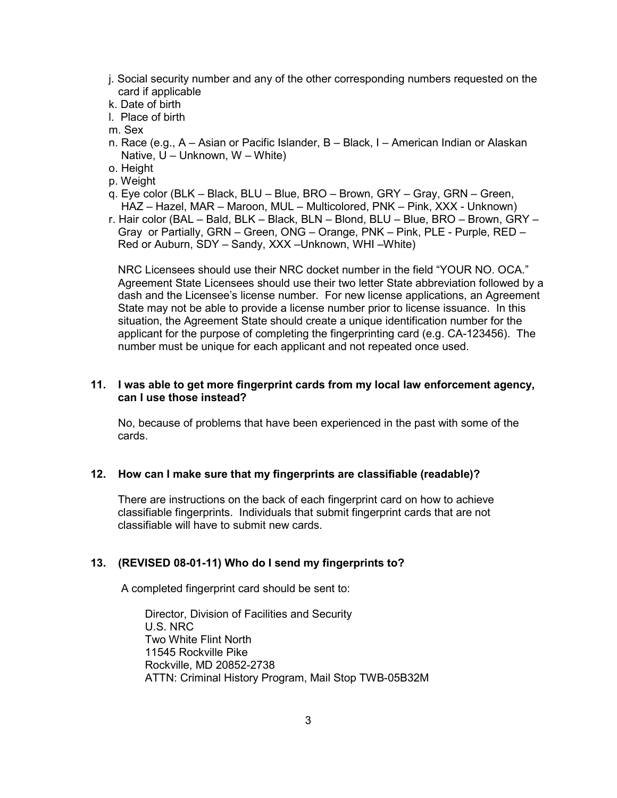- j. Social security number and any of the other corresponding numbers requested on the card if applicable
- k. Date of birth
- l. Place of birth
- m. Sex
- n. Race (e.g., A Asian or Pacific Islander, B Black, I American Indian or Alaskan Native,  $U -$  Unknown,  $W -$  White)
- o. Height
- p. Weight
- q. Eye color (BLK Black, BLU Blue, BRO Brown, GRY Gray, GRN Green, HAZ – Hazel, MAR – Maroon, MUL – Multicolored, PNK – Pink, XXX - Unknown)
- r. Hair color (BAL Bald, BLK Black, BLN Blond, BLU Blue, BRO Brown, GRY Gray or Partially, GRN – Green, ONG – Orange, PNK – Pink, PLE - Purple, RED – Red or Auburn, SDY – Sandy, XXX –Unknown, WHI –White)

 NRC Licensees should use their NRC docket number in the field "YOUR NO. OCA." Agreement State Licensees should use their two letter State abbreviation followed by a dash and the Licensee's license number. For new license applications, an Agreement State may not be able to provide a license number prior to license issuance. In this situation, the Agreement State should create a unique identification number for the applicant for the purpose of completing the fingerprinting card (e.g. CA-123456). The number must be unique for each applicant and not repeated once used.

## **11. I was able to get more fingerprint cards from my local law enforcement agency, can I use those instead?**

 No, because of problems that have been experienced in the past with some of the cards.

### **12. How can I make sure that my fingerprints are classifiable (readable)?**

There are instructions on the back of each fingerprint card on how to achieve classifiable fingerprints. Individuals that submit fingerprint cards that are not classifiable will have to submit new cards.

# **13. (REVISED 08-01-11) Who do I send my fingerprints to?**

A completed fingerprint card should be sent to:

 Director, Division of Facilities and Security U.S. NRC Two White Flint North 11545 Rockville Pike Rockville, MD 20852-2738 ATTN: Criminal History Program, Mail Stop TWB-05B32M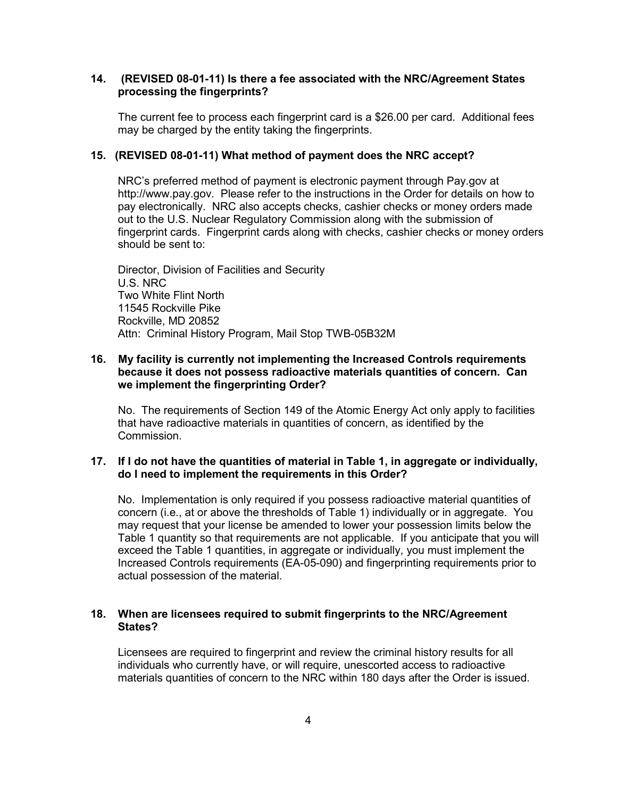### **14. (REVISED 08-01-11) Is there a fee associated with the NRC/Agreement States processing the fingerprints?**

 The current fee to process each fingerprint card is a \$26.00 per card. Additional fees may be charged by the entity taking the fingerprints.

# **15. (REVISED 08-01-11) What method of payment does the NRC accept?**

 NRC's preferred method of payment is electronic payment through Pay.gov at http://www.pay.gov. Please refer to the instructions in the Order for details on how to pay electronically. NRC also accepts checks, cashier checks or money orders made out to the U.S. Nuclear Regulatory Commission along with the submission of fingerprint cards. Fingerprint cards along with checks, cashier checks or money orders should be sent to:

 Director, Division of Facilities and Security U.S. NRC Two White Flint North 11545 Rockville Pike Rockville, MD 20852 Attn: Criminal History Program, Mail Stop TWB-05B32M

#### **16. My facility is currently not implementing the Increased Controls requirements because it does not possess radioactive materials quantities of concern. Can we implement the fingerprinting Order?**

 No. The requirements of Section 149 of the Atomic Energy Act only apply to facilities that have radioactive materials in quantities of concern, as identified by the Commission.

### **17. If I do not have the quantities of material in Table 1, in aggregate or individually, do I need to implement the requirements in this Order?**

 No. Implementation is only required if you possess radioactive material quantities of concern (i.e., at or above the thresholds of Table 1) individually or in aggregate. You may request that your license be amended to lower your possession limits below the Table 1 quantity so that requirements are not applicable. If you anticipate that you will exceed the Table 1 quantities, in aggregate or individually, you must implement the Increased Controls requirements (EA-05-090) and fingerprinting requirements prior to actual possession of the material.

## **18. When are licensees required to submit fingerprints to the NRC/Agreement States?**

 Licensees are required to fingerprint and review the criminal history results for all individuals who currently have, or will require, unescorted access to radioactive materials quantities of concern to the NRC within 180 days after the Order is issued.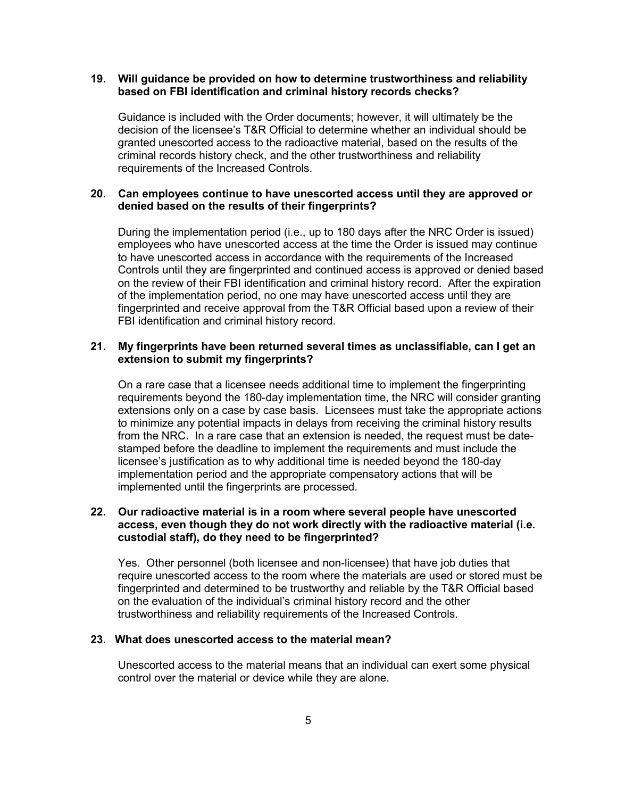#### **19. Will guidance be provided on how to determine trustworthiness and reliability based on FBI identification and criminal history records checks?**

 Guidance is included with the Order documents; however, it will ultimately be the decision of the licensee's T&R Official to determine whether an individual should be granted unescorted access to the radioactive material, based on the results of the criminal records history check, and the other trustworthiness and reliability requirements of the Increased Controls.

### **20. Can employees continue to have unescorted access until they are approved or denied based on the results of their fingerprints?**

During the implementation period (i.e., up to 180 days after the NRC Order is issued) employees who have unescorted access at the time the Order is issued may continue to have unescorted access in accordance with the requirements of the Increased Controls until they are fingerprinted and continued access is approved or denied based on the review of their FBI identification and criminal history record. After the expiration of the implementation period, no one may have unescorted access until they are fingerprinted and receive approval from the T&R Official based upon a review of their FBI identification and criminal history record.

### **21. My fingerprints have been returned several times as unclassifiable, can I get an extension to submit my fingerprints?**

 On a rare case that a licensee needs additional time to implement the fingerprinting requirements beyond the 180-day implementation time, the NRC will consider granting extensions only on a case by case basis. Licensees must take the appropriate actions to minimize any potential impacts in delays from receiving the criminal history results from the NRC. In a rare case that an extension is needed, the request must be datestamped before the deadline to implement the requirements and must include the licensee's justification as to why additional time is needed beyond the 180-day implementation period and the appropriate compensatory actions that will be implemented until the fingerprints are processed.

## **22. Our radioactive material is in a room where several people have unescorted access, even though they do not work directly with the radioactive material (i.e. custodial staff), do they need to be fingerprinted?**

 Yes. Other personnel (both licensee and non-licensee) that have job duties that require unescorted access to the room where the materials are used or stored must be fingerprinted and determined to be trustworthy and reliable by the T&R Official based on the evaluation of the individual's criminal history record and the other trustworthiness and reliability requirements of the Increased Controls.

## **23. What does unescorted access to the material mean?**

 Unescorted access to the material means that an individual can exert some physical control over the material or device while they are alone.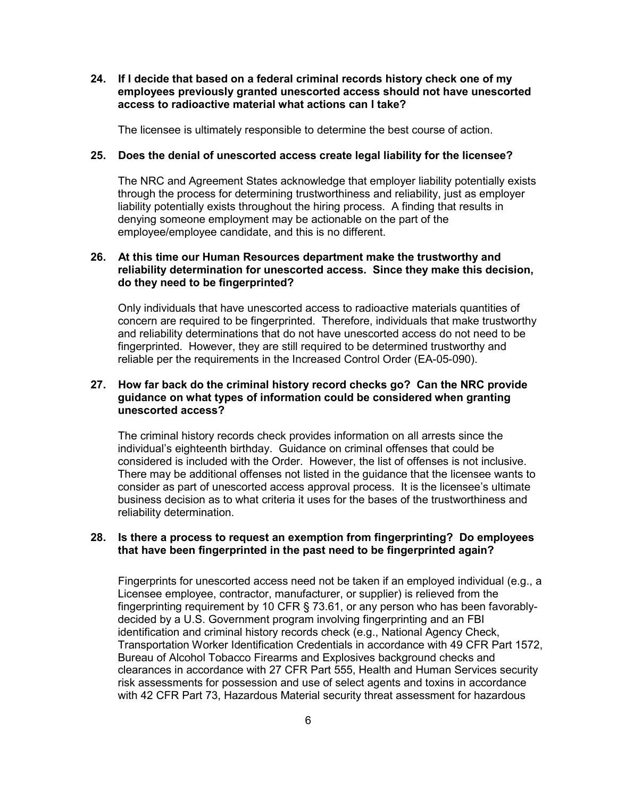**24. If I decide that based on a federal criminal records history check one of my employees previously granted unescorted access should not have unescorted access to radioactive material what actions can I take?** 

The licensee is ultimately responsible to determine the best course of action.

#### **25. Does the denial of unescorted access create legal liability for the licensee?**

 The NRC and Agreement States acknowledge that employer liability potentially exists through the process for determining trustworthiness and reliability, just as employer liability potentially exists throughout the hiring process. A finding that results in denying someone employment may be actionable on the part of the employee/employee candidate, and this is no different.

## **26. At this time our Human Resources department make the trustworthy and reliability determination for unescorted access. Since they make this decision, do they need to be fingerprinted?**

 Only individuals that have unescorted access to radioactive materials quantities of concern are required to be fingerprinted. Therefore, individuals that make trustworthy and reliability determinations that do not have unescorted access do not need to be fingerprinted. However, they are still required to be determined trustworthy and reliable per the requirements in the Increased Control Order (EA-05-090).

## **27. How far back do the criminal history record checks go? Can the NRC provide guidance on what types of information could be considered when granting unescorted access?**

 The criminal history records check provides information on all arrests since the individual's eighteenth birthday. Guidance on criminal offenses that could be considered is included with the Order. However, the list of offenses is not inclusive. There may be additional offenses not listed in the guidance that the licensee wants to consider as part of unescorted access approval process. It is the licensee's ultimate business decision as to what criteria it uses for the bases of the trustworthiness and reliability determination.

#### **28. Is there a process to request an exemption from fingerprinting? Do employees that have been fingerprinted in the past need to be fingerprinted again?**

 Fingerprints for unescorted access need not be taken if an employed individual (e.g., a Licensee employee, contractor, manufacturer, or supplier) is relieved from the fingerprinting requirement by 10 CFR § 73.61, or any person who has been favorablydecided by a U.S. Government program involving fingerprinting and an FBI identification and criminal history records check (e.g., National Agency Check, Transportation Worker Identification Credentials in accordance with 49 CFR Part 1572, Bureau of Alcohol Tobacco Firearms and Explosives background checks and clearances in accordance with 27 CFR Part 555, Health and Human Services security risk assessments for possession and use of select agents and toxins in accordance with 42 CFR Part 73, Hazardous Material security threat assessment for hazardous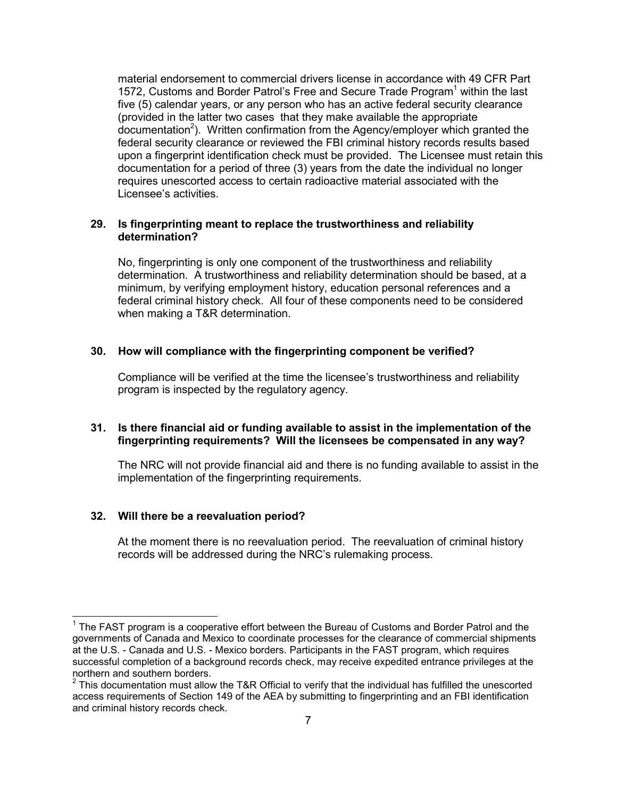material endorsement to commercial drivers license in accordance with 49 CFR Part 1572, Customs and Border Patrol's Free and Secure Trade Program<sup>1</sup> within the last five (5) calendar years, or any person who has an active federal security clearance (provided in the latter two cases that they make available the appropriate  $d$ ocumentation<sup>2</sup>). Written confirmation from the Agency/employer which granted the federal security clearance or reviewed the FBI criminal history records results based upon a fingerprint identification check must be provided. The Licensee must retain this documentation for a period of three (3) years from the date the individual no longer requires unescorted access to certain radioactive material associated with the Licensee's activities.

#### **29. Is fingerprinting meant to replace the trustworthiness and reliability determination?**

 No, fingerprinting is only one component of the trustworthiness and reliability determination. A trustworthiness and reliability determination should be based, at a minimum, by verifying employment history, education personal references and a federal criminal history check. All four of these components need to be considered when making a T&R determination.

### **30. How will compliance with the fingerprinting component be verified?**

Compliance will be verified at the time the licensee's trustworthiness and reliability program is inspected by the regulatory agency.

## **31. Is there financial aid or funding available to assist in the implementation of the fingerprinting requirements? Will the licensees be compensated in any way?**

 The NRC will not provide financial aid and there is no funding available to assist in the implementation of the fingerprinting requirements.

#### **32. Will there be a reevaluation period?**

-

At the moment there is no reevaluation period. The reevaluation of criminal history records will be addressed during the NRC's rulemaking process.

 $1$  The FAST program is a cooperative effort between the Bureau of Customs and Border Patrol and the governments of Canada and Mexico to coordinate processes for the clearance of commercial shipments at the U.S. - Canada and U.S. - Mexico borders. Participants in the FAST program, which requires successful completion of a background records check, may receive expedited entrance privileges at the northern and southern borders.

 $2$  This documentation must allow the T&R Official to verify that the individual has fulfilled the unescorted access requirements of Section 149 of the AEA by submitting to fingerprinting and an FBI identification and criminal history records check.